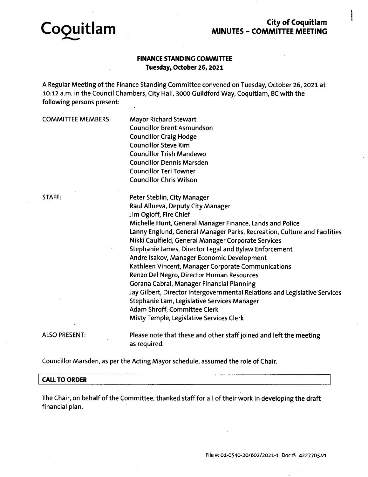

# **City of Coquitlam MINUTES - COMMITTEE MEETING**

## **FINANCE STANDING COMMITTEE Tuesday, October 26,2021**

A Regular Meeting of the Finance Standing Committee convened on Tuesday, October 26, 2021 at 10:12 a.m. In the Council Chambers, City Hall, 3000 Guildford Way, Coquitlam, BC with the following persons present:

| <b>COMMITTEE MEMBERS:</b> | <b>Mayor Richard Stewart</b><br><b>Councillor Brent Asmundson</b><br><b>Councillor Craig Hodge</b><br><b>Councillor Steve Kim</b><br><b>Councillor Trish Mandewo</b><br><b>Councillor Dennis Marsden</b><br><b>Councillor Teri Towner</b><br><b>Councillor Chris Wilson</b>                                                                                                                                                                                                                                                                                                                                                                                                                                                                               |
|---------------------------|-----------------------------------------------------------------------------------------------------------------------------------------------------------------------------------------------------------------------------------------------------------------------------------------------------------------------------------------------------------------------------------------------------------------------------------------------------------------------------------------------------------------------------------------------------------------------------------------------------------------------------------------------------------------------------------------------------------------------------------------------------------|
| STAFF:                    | Peter Steblin, City Manager<br>Raul Allueva, Deputy City Manager<br>Jim Ogloff, Fire Chief<br>Michelle Hunt, General Manager Finance, Lands and Police<br>Lanny Englund, General Manager Parks, Recreation, Culture and Facilities<br>Nikki Caulfield, General Manager Corporate Services<br>Stephanie James, Director Legal and Bylaw Enforcement<br>Andre Isakov, Manager Economic Development<br>Kathleen Vincent, Manager Corporate Communications<br>Renzo Del Negro, Director Human Resources<br>Gorana Cabral, Manager Financial Planning<br>Jay Gilbert, Director Intergovernmental Relations and Legislative Services<br>Stephanie Lam, Legislative Services Manager<br>Adam Shroff, Committee Clerk<br>Misty Temple, Legislative Services Clerk |
| <b>ALSO PRESENT:</b>      | Please note that these and other staff joined and left the meeting<br>as required.                                                                                                                                                                                                                                                                                                                                                                                                                                                                                                                                                                                                                                                                        |

Councillor Marsden, as per the Acting Mayor schedule, assumed the role of Chair.

### **CALL TO ORDER**

The Chair, on behalf of the Committee, thanked staff for all of their work in developing the draft financial plan.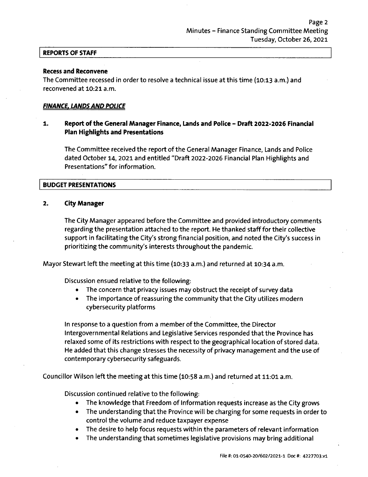#### **REPORTS OF STAFF**

#### **Recess and Reconvene**

The Committee recessed in order to resolve a technical issue at this time (10:13 a.m.) and reconvened at 10:21 a.m.

#### *FINANCE. LANDSAND POLICE*

#### **1. Report of the General Manager Finance, Lands and Police - Draft 2022-2026 Financial Plan Highlights and Presentations**

The Committee received the report of the General Manager Finance, Lands and Police dated October 14, 2021 and entitled "Draft 2022-2026 Financial Plan Highlights and Presentations" for information.

#### **BUDGET PRESENTATIONS**

#### **2. City Manager**

The City Manager appeared before the Committee and provided introductory comments regarding the presentation attached to the report. He thanked stafffor their collective support in facilitating the City'<sup>s</sup> strong financial position, and noted the City'<sup>s</sup> success in prioritizing the community'<sup>s</sup> interests throughout the pandemic.

Mayor Stewart left the meeting at this time (10:33 a.m.) and returned at 10:34 a.m.

Discussion ensued relative to the following:

- The concern that privacy issues may obstruct the receipt of survey data
- The importance of reassuring the community that the City utilizes modern cybersecurity platforms

In response to a question from a member of the Committee, the Director Intergovernmental Relations and Legislative Services responded that the Province has relaxed some of its restrictions with respect to the geographical location of stored data. He added that this change stresses the necessity of privacy management and the use of contemporary cybersecurity safeguards.

Councillor Wilson left the meeting at this time (10:58 a.m.) and returned at 11:01 a.m.

Discussion continued relative to the following:

- The knowledge that Freedom of Information requests increase as the City grows
- The understanding that the Province will be charging for some requests in order to control the volume and reduce taxpayer expense
- The desire to help focus requests within the parameters of relevant information
- The understanding that sometimes legislative provisions may bring additional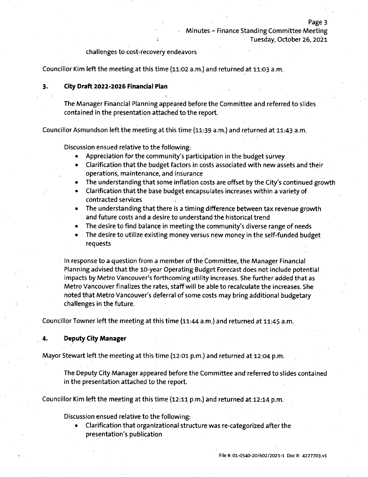#### challenges to cost-recovery endeavors

Councillor Kim left the meeting at this time (11:02 a.m.) and returned at 11:03 a.m.

**1,**

#### **3. City Draft 2022-2026 Financial Plan**

The Manager Financial Planning appeared before the Committee and referred to slides contained in the presentation attached to the report.

Councillor Asmundson left the meeting at this time (11:39 a.m.) and returned at 11:43 a.m.

Discussion ensued relative to the following:

- Appreciation for the community'<sup>s</sup> participation in the budget survey
- Clarification that the budget factors in costs associated with new assets and their operations, maintenance, and insurance
- The understanding that some inflation costs are offset by the City'<sup>s</sup> continued growth
- Clarification that the base budget encapsulates increases within a variety of contracted services
- The understanding that there is a timing difference between tax revenue growth and future costs and <sup>a</sup> desire to understand the historical trend
- The desire to find balance in meeting the community's diverse range of needs
- The desire to utilize existing money versus new money in the self-funded budget requests

In response to a question from a member of the Committee, the Manager Financial Planning advised that the 10-year Operating Budget Forecast does not include potential impacts by Metro Vancouver'<sup>s</sup> forthcoming utility increases. She further added that as Metro Vancouver finalizes the rates, staffwill be able to recalculate the increases. She noted that Metro Vancouver's deferral of some costs may bring additional budgetary challenges in the future.

Councillor Towner left the meeting at this time (11:44 a.m.) and returned at 11:45 a m.

#### **4. Deputy City Manager**

Mayor Stewart left the meeting at this time (12:01 p.m.) and returned at 12:04 p.m.

The Deputy City Manager appeared before the Committee and referred to slides contained in the presentation attached to the report.

Councillor Kim left the meeting at this time (12:11 p.m.) and returned at 12:14 p.m.

Discussion ensued relative to the following:

• Clarification that organizational structure was re-categorized after the presentation'<sup>s</sup> publication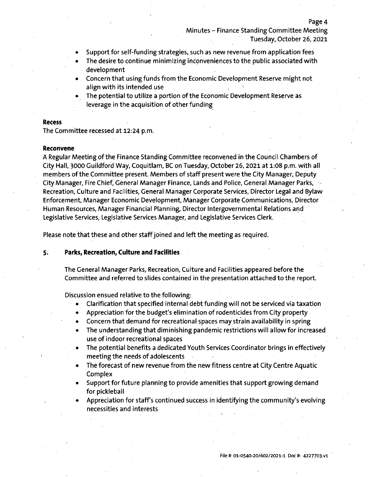- Support for self-funding strategies, such as new revenue from application fees
- The desire to continue minimizing inconveniences to the public associated with development
- Concern that using funds from the Economic Development Reserve might not align with its intended use
- The potential to utilize a portion of the Economic Development Reserve as leverage in the acquisition of other funding

#### **Recess**

The Committee recessed at 12:24 p.m.

#### **Reconvene**

A Regular Meeting of the Finance Standing Committee reconvened in the Council Chambers of City Hall, 3000 Guildford Way, Coquitlam, BC on Tuesday, October 26, 2021 at 1:08 p.m. with all members of the Committee present. Members of staff present were the City Manager, Deputy City Manager, Fire Chief, General Manager Finance, Lands and Police, General Manager Parks, Recreation, Culture and Facilities, General Manager Corporate Services, Director Legal and Bylaw Enforcement, Manager Economic Development, Manager Corporate Communications, Director Human Resources, Manager Financial Planning, Director Intergovernmental Relations and Legislative Services, Legislative Services Manager, and Legislative Services Clerk.

Please note that these and other staff joined and left the meeting as required.

#### **5. Parks, Recreation, Culture and Facilities**

The General Manager Parks, Recreation, Culture and Facilities appeared before the Committee and referred to slides contained in the presentation attached to the report.

Discussion ensued relative to the following:

- $\bullet$ Clarification that specified internal debt funding will not be serviced via taxation
- Appreciation for the budget'<sup>s</sup> elimination of rodenticides from City property
- Concern that demand for recreational spaces may strain availability in spring  $\bullet$
- The understanding that diminishing pandemic restrictions will allow for increased  $\bullet$ use of indoor recreational spaces
- The potential benefits a dedicated Youth Services Coordinator brings in effectively meeting the needs of adolescents
- The forecast of new revenue from the new fitness centre at City Centre Aquatic  $\bullet$ Complex
- Support for future planning to provide amenities that support growing demand for pickleball
- Appreciation for staff'<sup>s</sup> continued success in identifying the community'<sup>s</sup> evolving necessities and interests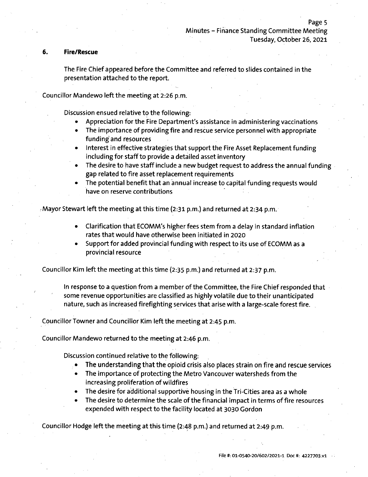#### **6. Fire/Rescue**

**/**

The Fire Chief appeared before the Committee and referred to slides contained in the presentation attached to the report.

Councillor Mandewo left the meeting at 2:26 p.m.

Discussion ensued relative to the following:

- Appreciation for the Fire Department's assistance in administering vaccinations
- The importance of providing fire and rescue service personnel with appropriate funding and resources
- Interest in effective strategies that support the Fire Asset Replacement funding including for staff to provide a detailed asset inventory
- The desire to have staff include <sup>a</sup> new budget request to address the annual funding gap related to fire asset replacement requirements
- The potential benefit that an annual increase to capital funding requests would have on reserve contributions

Mayor Stewart left the meeting at this time (2:31 p.m.) and returned at 2:34 p.m. *!*

- Clarification that ECOMM's higher fees stem from a delay in standard inflation rates that would have otherwise been initiated in 2020
- Support for added provincial funding with respect to its use of ECOMM as <sup>a</sup> provincial resource

Councillor Kim left the meeting at this time (2:35 p.m.) and returned at 2:37 p.m.

In response to a question from a member of the Committee, the Fire Chief responded that some revenue opportunities are classified as highly volatile due to their unanticipated nature, such as increased firefighting services that arise with <sup>a</sup> large-scale forest fire.

Councillor Towner and Councillor Kim left the meeting at 2:45 p.m.

Councillor Maridewo returned to the meeting at 2:46 p.m.

Discussion continued relative to the following:

- The understanding that the opioid crisis also places strain on fire and rescue services
- The importance of protecting the Metro Vancouver watersheds from the increasing proliferation of wildfires
- The desire for additional supportive housing in the Tri-Cities area as a whole
- The desire to determine the scale of the financial impact in terms of fire resources expended with respect to the facility located at 3030 Gordon

Councillor Hodge left the meeting at this time (2:48 p.m.) and returned at 2:49 p.m.